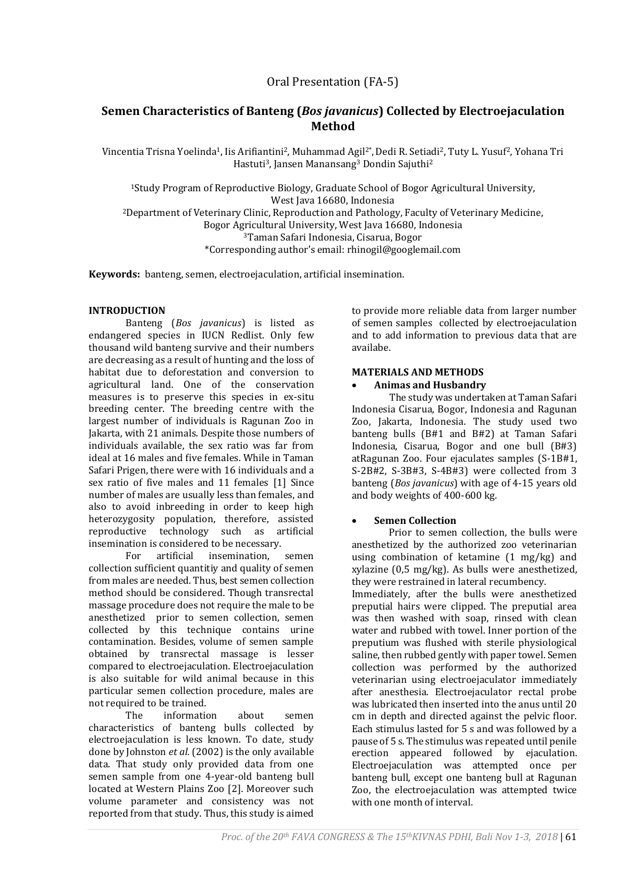# **Semen Characteristics of Banteng (***Bos javanicus***) Collected by Electroejaculation Method**

Vincentia Trisna Yoelinda<sup>1</sup>, Iis Arifiantini<sup>2</sup>, Muhammad Agil<sup>2</sup>\*, Dedi R. Setiadi<sup>2</sup>, Tuty L. Yusuf<sup>2</sup>, Yohana Tri Hastuti<sup>3</sup>, Jansen Manansang<sup>3</sup> Dondin Sajuthi<sup>2</sup>

<sup>1</sup>Study Program of Reproductive Biology, Graduate School of Bogor Agricultural University, West Java 16680, Indonesia <sup>2</sup>Department of Veterinary Clinic, Reproduction and Pathology, Faculty of Veterinary Medicine, Bogor Agricultural University, West Java 16680, Indonesia <sup>3</sup>Taman Safari Indonesia, Cisarua, Bogor

\*Corresponding author's email: rhinogil@googlemail.com

**Keywords:** banteng, semen, electroejaculation, artificial insemination.

### **INTRODUCTION**

Banteng (*Bos javanicus*) is listed as endangered species in IUCN Redlist. Only few thousand wild banteng survive and their numbers are decreasing as a result of hunting and the loss of habitat due to deforestation and conversion to agricultural land. One of the conservation measures is to preserve this species in ex-situ breeding center. The breeding centre with the largest number of individuals is Ragunan Zoo in Jakarta, with 21 animals. Despite those numbers of individuals available, the sex ratio was far from ideal at 16 males and five females. While in Taman Safari Prigen, there were with 16 individuals and a sex ratio of five males and 11 females [1] Since number of males are usually less than females, and also to avoid inbreeding in order to keep high heterozygosity population, therefore, assisted reproductive technology such as artificial insemination is considered to be necessary.

For artificial insemination, semen collection sufficient quantitiy and quality of semen from males are needed. Thus, best semen collection method should be considered. Though transrectal massage procedure does not require the male to be anesthetized prior to semen collection, semen collected by this technique contains urine contamination. Besides, volume of semen sample obtained by transrectal massage is lesser compared to electroejaculation. Electroejaculation is also suitable for wild animal because in this particular semen collection procedure, males are not required to be trained.

The information about semen characteristics of banteng bulls collected by electroejaculation is less known. To date, study done by Johnston *et al.* (2002) is the only available data. That study only provided data from one semen sample from one 4-year-old banteng bull located at Western Plains Zoo [2]. Moreover such volume parameter and consistency was not reported from that study. Thus, this study is aimed

to provide more reliable data from larger number of semen samples collected by electroejaculation and to add information to previous data that are availabe.

### **MATERIALS AND METHODS**

#### **Animas and Husbandry**

The study was undertaken at Taman Safari Indonesia Cisarua, Bogor, Indonesia and Ragunan Zoo, Jakarta, Indonesia. The study used two banteng bulls (B#1 and B#2) at Taman Safari Indonesia, Cisarua, Bogor and one bull (B#3) atRagunan Zoo. Four ejaculates samples (S-1B#1, S-2B#2, S-3B#3, S-4B#3) were collected from 3 banteng (*Bos javanicus*) with age of 4-15 years old and body weights of 400-600 kg.

### **Semen Collection**

Prior to semen collection, the bulls were anesthetized by the authorized zoo veterinarian using combination of ketamine (1 mg/kg) and xylazine (0,5 mg/kg). As bulls were anesthetized, they were restrained in lateral recumbency.

Immediately, after the bulls were anesthetized preputial hairs were clipped. The preputial area was then washed with soap, rinsed with clean water and rubbed with towel. Inner portion of the preputium was flushed with sterile physiological saline, then rubbed gently with paper towel. Semen collection was performed by the authorized veterinarian using electroejaculator immediately after anesthesia. Electroejaculator rectal probe was lubricated then inserted into the anus until 20 cm in depth and directed against the pelvic floor. Each stimulus lasted for 5 s and was followed by a pause of 5 s. The stimulus was repeated until penile erection appeared followed by ejaculation. Electroejaculation was attempted once per banteng bull, except one banteng bull at Ragunan Zoo, the electroejaculation was attempted twice with one month of interval.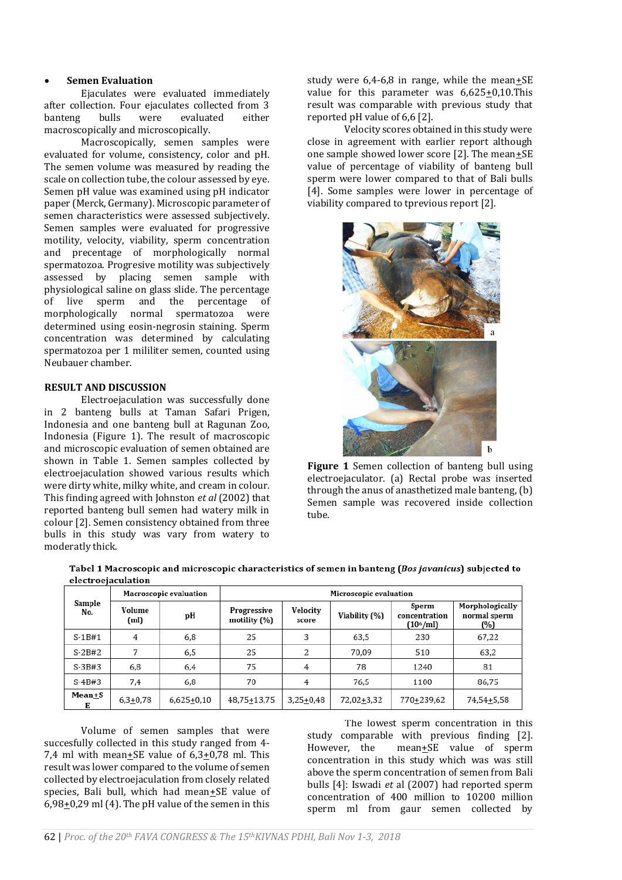#### **Semen Evaluation**

Ejaculates were evaluated immediately after collection. Four ejaculates collected from 3 banteng bulls were evaluated either macroscopically and microscopically.

Macroscopically, semen samples were evaluated for volume, consistency, color and pH. The semen volume was measured by reading the scale on collection tube, the colour assessed by eye. Semen pH value was examined using pH indicator paper (Merck, Germany). Microscopic parameter of semen characteristics were assessed subjectively. Semen samples were evaluated for progressive motility, velocity, viability, sperm concentration and precentage of morphologically normal spermatozoa. Progresive motility was subjectively assessed by placing semen sample with physiological saline on glass slide. The percentage of live sperm and the percentage of morphologically normal spermatozoa were determined using eosin-negrosin staining. Sperm concentration was determined by calculating spermatozoa per 1 mililiter semen, counted using Neubauer chamber.

### **RESULT AND DISCUSSION**

Electroejaculation was successfully done in 2 banteng bulls at Taman Safari Prigen, Indonesia and one banteng bull at Ragunan Zoo, Indonesia (Figure 1). The result of macroscopic and microscopic evaluation of semen obtained are shown in Table 1. Semen samples collected by electroejaculation showed various results which were dirty white, milky white, and cream in colour. This finding agreed with Johnston *et al* (2002) that reported banteng bull semen had watery milk in colour [2]. Semen consistency obtained from three bulls in this study was vary from watery to moderatly thick.

study were  $6,4-6,8$  in range, while the mean $\pm$ SE value for this parameter was  $6,625+0,10$ .This result was comparable with previous study that reported pH value of 6,6 [2].

Velocity scores obtained in this study were close in agreement with earlier report although one sample showed lower score [2]. The mean $+$ SE value of percentage of viability of banteng bull sperm were lower compared to that of Bali bulls [4]. Some samples were lower in percentage of viability compared to tprevious report [2].



**Figure 1** Semen collection of banteng bull using electroejaculator. (a) Rectal probe was inserted through the anus of anasthetized male banteng, (b) Semen sample was recovered inside collection tube.

| Sample<br>No.      | Macroscopic evaluation |              | Microscopic evaluation      |                   |               |                                        |                                        |
|--------------------|------------------------|--------------|-----------------------------|-------------------|---------------|----------------------------------------|----------------------------------------|
|                    | Volume<br>(ml)         | pН           | Progressive<br>motility (%) | Velocity<br>score | Viability (%) | Sperm<br>concentration<br>$(10^6$ /ml) | Morphologically<br>normal sperm<br>(%) |
| $S-1B#1$           | 4                      | 6,8          | 25                          | 3                 | 63,5          | 230                                    | 67,22                                  |
| $S-2B#2$           |                        | 6,5          | 25                          | 2                 | 70.09         | 510                                    | 63,2                                   |
| $S-3B+3$           | 6,8                    | 6,4          | 75                          | 4                 | 78            | 1240                                   | 81                                     |
| $S-4B#3$           | 7,4                    | 6,8          | 70                          | 4                 | 76,5          | 1100                                   | 86,75                                  |
| <b>Mean+S</b><br>Е | $6,3+0,78$             | $6,625+0,10$ | 48,75+13,75                 | $3,25+0,48$       | 72,02+3,32    | 770+239.62                             | 74,54+5,58                             |

Tabel 1 Macroscopic and microscopic characteristics of semen in banteng (Bos javanicus) subjected to alectrooiaculation

Volume of semen samples that were succesfully collected in this study ranged from 4- 7,4 ml with mean $\pm$ SE value of 6,3 $\pm$ 0,78 ml. This result was lower compared to the volume of semen collected by electroejaculation from closely related species, Bali bull, which had mean+SE value of 6,98+0,29 ml (4). The pH value of the semen in this

The lowest sperm concentration in this study comparable with previous finding [2]. However, the mean+SE value of sperm concentration in this study which was was still above the sperm concentration of semen from Bali bulls [4]: Iswadi *et* al (2007) had reported sperm concentration of 400 million to 10200 million sperm ml from gaur semen collected by